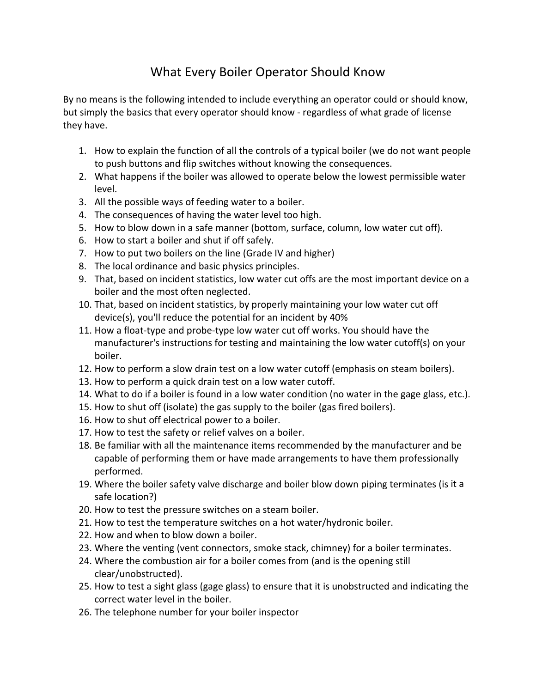## What Every Boiler Operator Should Know

By no means is the following intended to include everything an operator could or should know, but simply the basics that every operator should know ‐ regardless of what grade of license they have.

- 1. How to explain the function of all the controls of a typical boiler (we do not want people to push buttons and flip switches without knowing the consequences.
- 2. What happens if the boiler was allowed to operate below the lowest permissible water level.
- 3. All the possible ways of feeding water to a boiler.
- 4. The consequences of having the water level too high.
- 5. How to blow down in a safe manner (bottom, surface, column, low water cut off).
- 6. How to start a boiler and shut if off safely.
- 7. How to put two boilers on the line (Grade IV and higher)
- 8. The local ordinance and basic physics principles.
- 9. That, based on incident statistics, low water cut offs are the most important device on a boiler and the most often neglected.
- 10. That, based on incident statistics, by properly maintaining your low water cut off device(s), you'll reduce the potential for an incident by 40%
- 11. How a float‐type and probe‐type low water cut off works. You should have the manufacturer's instructions for testing and maintaining the low water cutoff(s) on your boiler.
- 12. How to perform a slow drain test on a low water cutoff (emphasis on steam boilers).
- 13. How to perform a quick drain test on a low water cutoff.
- 14. What to do if a boiler is found in a low water condition (no water in the gage glass, etc.).
- 15. How to shut off (isolate) the gas supply to the boiler (gas fired boilers).
- 16. How to shut off electrical power to a boiler.
- 17. How to test the safety or relief valves on a boiler.
- 18. Be familiar with all the maintenance items recommended by the manufacturer and be capable of performing them or have made arrangements to have them professionally performed.
- 19. Where the boiler safety valve discharge and boiler blow down piping terminates (is it a safe location?)
- 20. How to test the pressure switches on a steam boiler.
- 21. How to test the temperature switches on a hot water/hydronic boiler.
- 22. How and when to blow down a boiler.
- 23. Where the venting (vent connectors, smoke stack, chimney) for a boiler terminates.
- 24. Where the combustion air for a boiler comes from (and is the opening still clear/unobstructed).
- 25. How to test a sight glass (gage glass) to ensure that it is unobstructed and indicating the correct water level in the boiler.
- 26. The telephone number for your boiler inspector